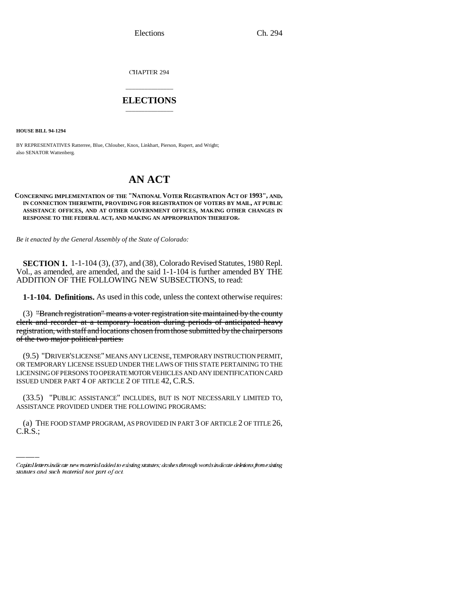CHAPTER 294

# \_\_\_\_\_\_\_\_\_\_\_\_\_\_\_ **ELECTIONS** \_\_\_\_\_\_\_\_\_\_\_\_\_\_\_

**HOUSE BILL 94-1294**

BY REPRESENTATIVES Ratterree, Blue, Chlouber, Knox, Linkhart, Pierson, Rupert, and Wright; also SENATOR Wattenberg.

# **AN ACT**

#### **CONCERNING IMPLEMENTATION OF THE "NATIONAL VOTER REGISTRATION ACT OF 1993", AND, IN CONNECTION THEREWITH, PROVIDING FOR REGISTRATION OF VOTERS BY MAIL, AT PUBLIC ASSISTANCE OFFICES, AND AT OTHER GOVERNMENT OFFICES, MAKING OTHER CHANGES IN RESPONSE TO THE FEDERAL ACT, AND MAKING AN APPROPRIATION THEREFOR.**

*Be it enacted by the General Assembly of the State of Colorado:*

**SECTION 1.** 1-1-104 (3), (37), and (38), Colorado Revised Statutes, 1980 Repl. Vol., as amended, are amended, and the said 1-1-104 is further amended BY THE ADDITION OF THE FOLLOWING NEW SUBSECTIONS, to read:

**1-1-104. Definitions.** As used in this code, unless the context otherwise requires:

(3) "Branch registration" means a voter registration site maintained by the county clerk and recorder at a temporary location during periods of anticipated heavy registration, with staff and locations chosen from those submitted by the chairpersons of the two major political parties.

(9.5) "DRIVER'S LICENSE" MEANS ANY LICENSE, TEMPORARY INSTRUCTION PERMIT, OR TEMPORARY LICENSE ISSUED UNDER THE LAWS OF THIS STATE PERTAINING TO THE LICENSING OF PERSONS TO OPERATE MOTOR VEHICLES AND ANY IDENTIFICATION CARD ISSUED UNDER PART 4 OF ARTICLE 2 OF TITLE 42, C.R.S.

(33.5) "PUBLIC ASSISTANCE" INCLUDES, BUT IS NOT NECESSARILY LIMITED TO, ASSISTANCE PROVIDED UNDER THE FOLLOWING PROGRAMS:

(a) THE FOOD STAMP PROGRAM, AS PROVIDED IN PART 3 OF ARTICLE 2 OF TITLE 26, C.R.S.;

Capital letters indicate new material added to existing statutes; dashes through words indicate deletions from existing statutes and such material not part of act.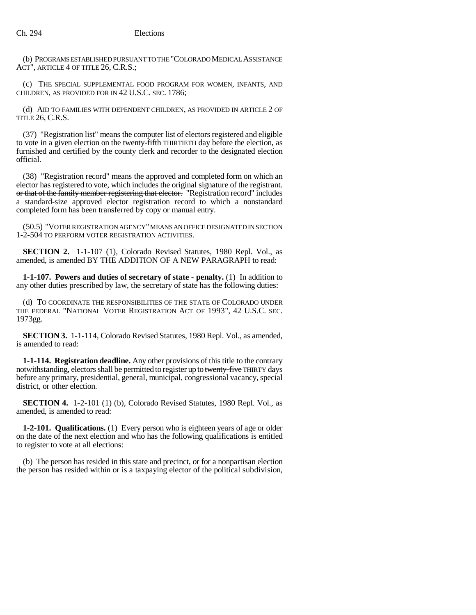(b) PROGRAMS ESTABLISHED PURSUANT TO THE "COLORADO MEDICAL ASSISTANCE ACT", ARTICLE 4 OF TITLE 26, C.R.S.;

(c) THE SPECIAL SUPPLEMENTAL FOOD PROGRAM FOR WOMEN, INFANTS, AND CHILDREN, AS PROVIDED FOR IN 42 U.S.C. SEC. 1786;

(d) AID TO FAMILIES WITH DEPENDENT CHILDREN, AS PROVIDED IN ARTICLE 2 OF TITLE 26, C.R.S.

(37) "Registration list" means the computer list of electors registered and eligible to vote in a given election on the twenty-fifth THIRTIETH day before the election, as furnished and certified by the county clerk and recorder to the designated election official.

(38) "Registration record" means the approved and completed form on which an elector has registered to vote, which includes the original signature of the registrant. or that of the family member registering that elector. "Registration record" includes a standard-size approved elector registration record to which a nonstandard completed form has been transferred by copy or manual entry.

(50.5) "VOTER REGISTRATION AGENCY" MEANS AN OFFICE DESIGNATED IN SECTION 1-2-504 TO PERFORM VOTER REGISTRATION ACTIVITIES.

**SECTION 2.** 1-1-107 (1), Colorado Revised Statutes, 1980 Repl. Vol., as amended, is amended BY THE ADDITION OF A NEW PARAGRAPH to read:

**1-1-107. Powers and duties of secretary of state - penalty.** (1) In addition to any other duties prescribed by law, the secretary of state has the following duties:

(d) TO COORDINATE THE RESPONSIBILITIES OF THE STATE OF COLORADO UNDER THE FEDERAL "NATIONAL VOTER REGISTRATION ACT OF 1993", 42 U.S.C. SEC. 1973gg.

**SECTION 3.** 1-1-114, Colorado Revised Statutes, 1980 Repl. Vol., as amended, is amended to read:

**1-1-114. Registration deadline.** Any other provisions of this title to the contrary notwithstanding, electors shall be permitted to register up to twenty-five THIRTY days before any primary, presidential, general, municipal, congressional vacancy, special district, or other election.

**SECTION 4.** 1-2-101 (1) (b), Colorado Revised Statutes, 1980 Repl. Vol., as amended, is amended to read:

**1-2-101. Qualifications.** (1) Every person who is eighteen years of age or older on the date of the next election and who has the following qualifications is entitled to register to vote at all elections:

(b) The person has resided in this state and precinct, or for a nonpartisan election the person has resided within or is a taxpaying elector of the political subdivision,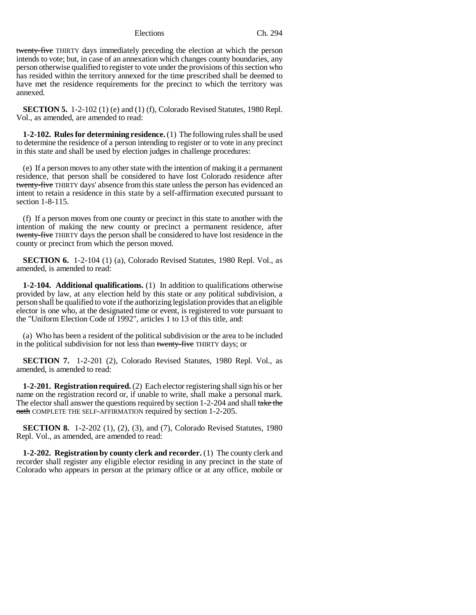twenty-five THIRTY days immediately preceding the election at which the person intends to vote; but, in case of an annexation which changes county boundaries, any person otherwise qualified to register to vote under the provisions of this section who has resided within the territory annexed for the time prescribed shall be deemed to have met the residence requirements for the precinct to which the territory was annexed.

**SECTION 5.** 1-2-102 (1) (e) and (1) (f), Colorado Revised Statutes, 1980 Repl. Vol., as amended, are amended to read:

**1-2-102. Rules for determining residence.** (1) The following rules shall be used to determine the residence of a person intending to register or to vote in any precinct in this state and shall be used by election judges in challenge procedures:

(e) If a person moves to any other state with the intention of making it a permanent residence, that person shall be considered to have lost Colorado residence after twenty-five THIRTY days' absence from this state unless the person has evidenced an intent to retain a residence in this state by a self-affirmation executed pursuant to section 1-8-115.

(f) If a person moves from one county or precinct in this state to another with the intention of making the new county or precinct a permanent residence, after twenty-five THIRTY days the person shall be considered to have lost residence in the county or precinct from which the person moved.

**SECTION 6.** 1-2-104 (1) (a), Colorado Revised Statutes, 1980 Repl. Vol., as amended, is amended to read:

**1-2-104. Additional qualifications.** (1) In addition to qualifications otherwise provided by law, at any election held by this state or any political subdivision, a person shall be qualified to vote if the authorizing legislation provides that an eligible elector is one who, at the designated time or event, is registered to vote pursuant to the "Uniform Election Code of 1992", articles 1 to 13 of this title, and:

(a) Who has been a resident of the political subdivision or the area to be included in the political subdivision for not less than twenty-five THIRTY days; or

**SECTION 7.** 1-2-201 (2), Colorado Revised Statutes, 1980 Repl. Vol., as amended, is amended to read:

**1-2-201. Registration required.** (2) Each elector registering shall sign his or her name on the registration record or, if unable to write, shall make a personal mark. The elector shall answer the questions required by section 1-2-204 and shall take the oath COMPLETE THE SELF-AFFIRMATION required by section 1-2-205.

**SECTION 8.** 1-2-202 (1), (2), (3), and (7), Colorado Revised Statutes, 1980 Repl. Vol., as amended, are amended to read:

**1-2-202. Registration by county clerk and recorder.** (1) The county clerk and recorder shall register any eligible elector residing in any precinct in the state of Colorado who appears in person at the primary office or at any office, mobile or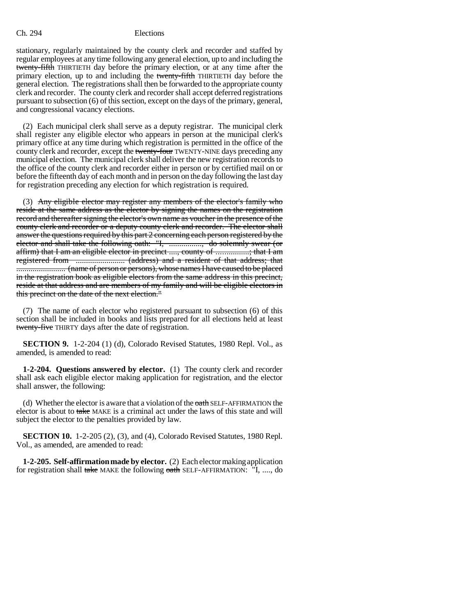stationary, regularly maintained by the county clerk and recorder and staffed by regular employees at any time following any general election, up to and including the twenty-fifth THIRTIETH day before the primary election, or at any time after the primary election, up to and including the twenty-fifth THIRTIETH day before the general election. The registrations shall then be forwarded to the appropriate county clerk and recorder. The county clerk and recorder shall accept deferred registrations pursuant to subsection (6) of this section, except on the days of the primary, general, and congressional vacancy elections.

(2) Each municipal clerk shall serve as a deputy registrar. The municipal clerk shall register any eligible elector who appears in person at the municipal clerk's primary office at any time during which registration is permitted in the office of the county clerk and recorder, except the twenty-four TWENTY-NINE days preceding any municipal election. The municipal clerk shall deliver the new registration records to the office of the county clerk and recorder either in person or by certified mail on or before the fifteenth day of each month and in person on the day following the last day for registration preceding any election for which registration is required.

(3) Any eligible elector may register any members of the elector's family who reside at the same address as the elector by signing the names on the registration record and thereafter signing the elector's own name as voucher in the presence of the county clerk and recorder or a deputy county clerk and recorder. The elector shall answer the questions required by this part 2 concerning each person registered by the elector and shall take the following oath: "I, ................., do solemnly swear (or affirm) that I am an eligible elector in precinct ...., county of ................; that I am registered from ........................ (address) and a resident of that address; that ........................ (name of person or persons), whose names I have caused to be placed in the registration book as eligible electors from the same address in this precinct, reside at that address and are members of my family and will be eligible electors in this precinct on the date of the next election."

(7) The name of each elector who registered pursuant to subsection (6) of this section shall be included in books and lists prepared for all elections held at least twenty-five THIRTY days after the date of registration.

**SECTION 9.** 1-2-204 (1) (d), Colorado Revised Statutes, 1980 Repl. Vol., as amended, is amended to read:

**1-2-204. Questions answered by elector.** (1) The county clerk and recorder shall ask each eligible elector making application for registration, and the elector shall answer, the following:

(d) Whether the elector is aware that a violation of the oath SELF-AFFIRMATION the elector is about to take MAKE is a criminal act under the laws of this state and will subject the elector to the penalties provided by law.

**SECTION 10.** 1-2-205 (2), (3), and (4), Colorado Revised Statutes, 1980 Repl. Vol., as amended, are amended to read:

**1-2-205. Self-affirmation made by elector.** (2) Each elector making application for registration shall take MAKE the following oath SELF-AFFIRMATION: "I, ...., do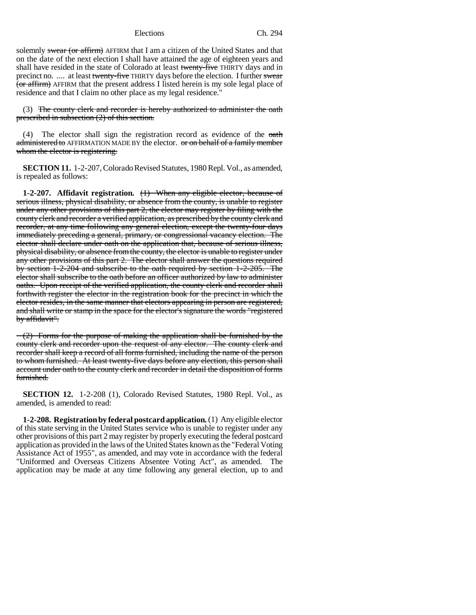solemnly swear (or affirm) AFFIRM that I am a citizen of the United States and that on the date of the next election I shall have attained the age of eighteen years and shall have resided in the state of Colorado at least twenty-five THIRTY days and in precinct no. .... at least twenty-five THIRTY days before the election. I further swear  $\overline{(or\text{ affirm})}$  AFFIRM that the present address I listed herein is my sole legal place of residence and that I claim no other place as my legal residence."

(3) The county clerk and recorder is hereby authorized to administer the oath prescribed in subsection (2) of this section.

(4) The elector shall sign the registration record as evidence of the  $o$ ath administered to AFFIRMATION MADE BY the elector. or on behalf of a family member whom the elector is registering.

**SECTION 11.** 1-2-207, Colorado Revised Statutes, 1980 Repl. Vol., as amended, is repealed as follows:

**1-2-207. Affidavit registration.** (1) When any eligible elector, because of serious illness, physical disability, or absence from the county, is unable to register under any other provisions of this part 2, the elector may register by filing with the county clerk and recorder a verified application, as prescribed by the county clerk and recorder, at any time following any general election, except the twenty-four days immediately preceding a general, primary, or congressional vacancy election. The elector shall declare under oath on the application that, because of serious illness, physical disability, or absence from the county, the elector is unable to register under any other provisions of this part 2. The elector shall answer the questions required by section 1-2-204 and subscribe to the oath required by section 1-2-205. The elector shall subscribe to the oath before an officer authorized by law to administer oaths. Upon receipt of the verified application, the county clerk and recorder shall forthwith register the elector in the registration book for the precinct in which the elector resides, in the same manner that electors appearing in person are registered, and shall write or stamp in the space for the elector's signature the words "registered by affidavit".

 $\sim$  (2) Forms for the purpose of making the application shall be furnished by the county clerk and recorder upon the request of any elector. The county clerk and recorder shall keep a record of all forms furnished, including the name of the person to whom furnished. At least twenty-five days before any election, this person shall account under oath to the county clerk and recorder in detail the disposition of forms furnished.

**SECTION 12.** 1-2-208 (1), Colorado Revised Statutes, 1980 Repl. Vol., as amended, is amended to read:

**1-2-208. Registration by federal postcard application.** (1) Any eligible elector of this state serving in the United States service who is unable to register under any other provisions of this part 2 may register by properly executing the federal postcard application as provided in the laws of the United States known as the "Federal Voting Assistance Act of 1955", as amended, and may vote in accordance with the federal "Uniformed and Overseas Citizens Absentee Voting Act", as amended. The application may be made at any time following any general election, up to and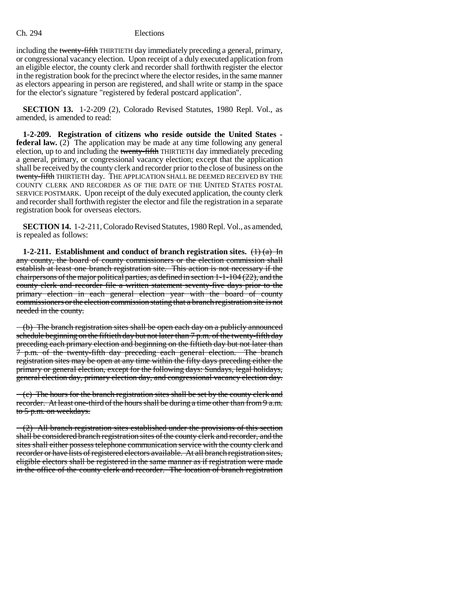including the twenty-fifth THIRTIETH day immediately preceding a general, primary, or congressional vacancy election. Upon receipt of a duly executed application from an eligible elector, the county clerk and recorder shall forthwith register the elector in the registration book for the precinct where the elector resides, in the same manner as electors appearing in person are registered, and shall write or stamp in the space for the elector's signature "registered by federal postcard application".

**SECTION 13.** 1-2-209 (2), Colorado Revised Statutes, 1980 Repl. Vol., as amended, is amended to read:

**1-2-209. Registration of citizens who reside outside the United States federal law.** (2) The application may be made at any time following any general election, up to and including the twenty-fifth THIRTIETH day immediately preceding a general, primary, or congressional vacancy election; except that the application shall be received by the county clerk and recorder prior to the close of business on the twenty-fifth THIRTIETH day. THE APPLICATION SHALL BE DEEMED RECEIVED BY THE COUNTY CLERK AND RECORDER AS OF THE DATE OF THE UNITED STATES POSTAL SERVICE POSTMARK. Upon receipt of the duly executed application, the county clerk and recorder shall forthwith register the elector and file the registration in a separate registration book for overseas electors.

**SECTION 14.** 1-2-211, Colorado Revised Statutes, 1980 Repl. Vol., as amended, is repealed as follows:

**1-2-211.** Establishment and conduct of branch registration sites.  $\left(\frac{1}{a}\right)$   $\left(\frac{1}{a}\right)$ any county, the board of county commissioners or the election commission shall establish at least one branch registration site. This action is not necessary if the chairpersons of the major political parties, as defined in section 1-1-104 (22), and the county clerk and recorder file a written statement seventy-five days prior to the primary election in each general election year with the board of county commissioners or the election commission stating that a branch registration site is not needed in the county.

 $-(b)$  The branch registration sites shall be open each day on a publicly announced schedule beginning on the fiftieth day but not later than  $7$  p.m. of the twenty-fifth day preceding each primary election and beginning on the fiftieth day but not later than 7 p.m. of the twenty-fifth day preceding each general election. The branch registration sites may be open at any time within the fifty days preceding either the primary or general election, except for the following days: Sundays, legal holidays, general election day, primary election day, and congressional vacancy election day.

 $-(e)$  The hours for the branch registration sites shall be set by the county clerk and recorder. At least one-third of the hours shall be during a time other than from 9 a.m. to 5 p.m. on weekdays.

 $-(2)$  All branch registration sites established under the provisions of this section shall be considered branch registration sites of the county clerk and recorder, and the sites shall either possess telephone communication service with the county clerk and recorder or have lists of registered electors available. At all branch registration sites, eligible electors shall be registered in the same manner as if registration were made in the office of the county clerk and recorder. The location of branch registration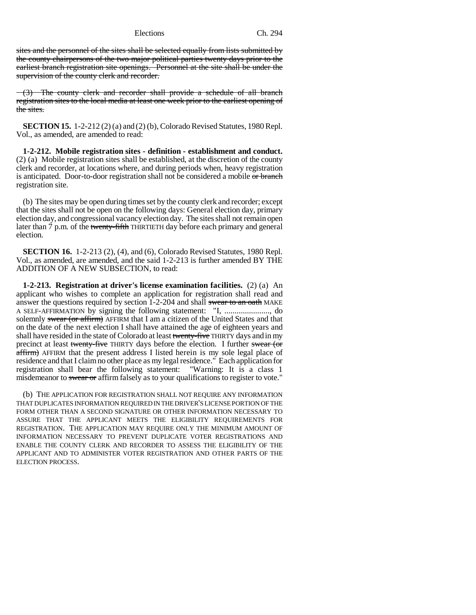sites and the personnel of the sites shall be selected equally from lists submitted by the county chairpersons of the two major political parties twenty days prior to the earliest branch registration site openings. Personnel at the site shall be under the supervision of the county clerk and recorder.

(3) The county clerk and recorder shall provide a schedule of all branch registration sites to the local media at least one week prior to the earliest opening of the sites.

**SECTION 15.** 1-2-212 (2) (a) and (2) (b), Colorado Revised Statutes, 1980 Repl. Vol., as amended, are amended to read:

**1-2-212. Mobile registration sites - definition - establishment and conduct.** (2) (a) Mobile registration sites shall be established, at the discretion of the county clerk and recorder, at locations where, and during periods when, heavy registration is anticipated. Door-to-door registration shall not be considered a mobile or branch registration site.

(b) The sites may be open during times set by the county clerk and recorder; except that the sites shall not be open on the following days: General election day, primary election day, and congressional vacancy election day. The sites shall not remain open later than 7 p.m. of the twenty-fifth THIRTIETH day before each primary and general election.

**SECTION 16.** 1-2-213 (2), (4), and (6), Colorado Revised Statutes, 1980 Repl. Vol., as amended, are amended, and the said 1-2-213 is further amended BY THE ADDITION OF A NEW SUBSECTION, to read:

**1-2-213. Registration at driver's license examination facilities.** (2) (a) An applicant who wishes to complete an application for registration shall read and answer the questions required by section 1-2-204 and shall swear to an oath MAKE A SELF-AFFIRMATION by signing the following statement: "I, ......................, do solemnly swear (or affirm) AFFIRM that I am a citizen of the United States and that on the date of the next election I shall have attained the age of eighteen years and shall have resided in the state of Colorado at least twenty-five THIRTY days and in my precinct at least twenty-five THIRTY days before the election. I further swear (or affirm) AFFIRM that the present address I listed herein is my sole legal place of residence and that I claim no other place as my legal residence." Each application for registration shall bear the following statement: "Warning: It is a class 1 misdemeanor to swear or affirm falsely as to your qualifications to register to vote."

(b) THE APPLICATION FOR REGISTRATION SHALL NOT REQUIRE ANY INFORMATION THAT DUPLICATES INFORMATION REQUIRED IN THE DRIVER'S LICENSE PORTION OF THE FORM OTHER THAN A SECOND SIGNATURE OR OTHER INFORMATION NECESSARY TO ASSURE THAT THE APPLICANT MEETS THE ELIGIBILITY REQUIREMENTS FOR REGISTRATION. THE APPLICATION MAY REQUIRE ONLY THE MINIMUM AMOUNT OF INFORMATION NECESSARY TO PREVENT DUPLICATE VOTER REGISTRATIONS AND ENABLE THE COUNTY CLERK AND RECORDER TO ASSESS THE ELIGIBILITY OF THE APPLICANT AND TO ADMINISTER VOTER REGISTRATION AND OTHER PARTS OF THE ELECTION PROCESS.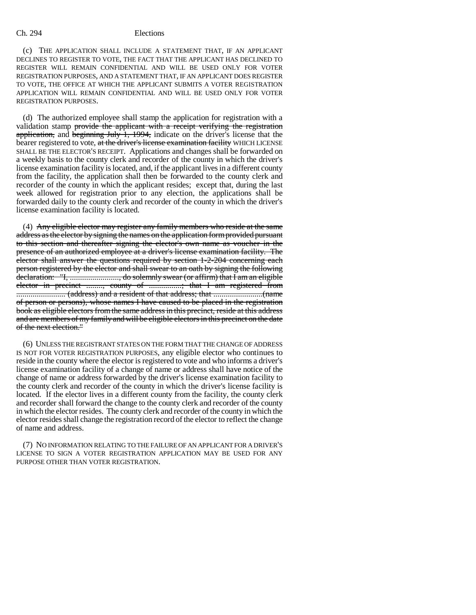(c) THE APPLICATION SHALL INCLUDE A STATEMENT THAT, IF AN APPLICANT DECLINES TO REGISTER TO VOTE, THE FACT THAT THE APPLICANT HAS DECLINED TO REGISTER WILL REMAIN CONFIDENTIAL AND WILL BE USED ONLY FOR VOTER REGISTRATION PURPOSES, AND A STATEMENT THAT, IF AN APPLICANT DOES REGISTER TO VOTE, THE OFFICE AT WHICH THE APPLICANT SUBMITS A VOTER REGISTRATION APPLICATION WILL REMAIN CONFIDENTIAL AND WILL BE USED ONLY FOR VOTER REGISTRATION PURPOSES.

(d) The authorized employee shall stamp the application for registration with a validation stamp provide the applicant with a receipt verifying the registration application, and beginning July 1, 1994, indicate on the driver's license that the bearer registered to vote, at the driver's license examination facility WHICH LICENSE SHALL BE THE ELECTOR'S RECEIPT. Applications and changes shall be forwarded on a weekly basis to the county clerk and recorder of the county in which the driver's license examination facility is located, and, if the applicant lives in a different county from the facility, the application shall then be forwarded to the county clerk and recorder of the county in which the applicant resides; except that, during the last week allowed for registration prior to any election, the applications shall be forwarded daily to the county clerk and recorder of the county in which the driver's license examination facility is located.

(4) Any eligible elector may register any family members who reside at the same address as the elector by signing the names on the application form provided pursuant to this section and thereafter signing the elector's own name as voucher in the presence of an authorized employee at a driver's license examination facility. The elector shall answer the questions required by section 1-2-204 concerning each person registered by the elector and shall swear to an oath by signing the following declaration: "I, ........................, do solemnly swear (or affirm) that I am an eligible elector in precinct ........, county of ................; that I am registered from ........................ (address) and a resident of that address; that ........................(name of person or persons), whose names I have caused to be placed in the registration book as eligible electors from the same address in this precinct, reside at this address and are members of my family and will be eligible electors in this precinct on the date of the next election."

(6) UNLESS THE REGISTRANT STATES ON THE FORM THAT THE CHANGE OF ADDRESS IS NOT FOR VOTER REGISTRATION PURPOSES, any eligible elector who continues to reside in the county where the elector is registered to vote and who informs a driver's license examination facility of a change of name or address shall have notice of the change of name or address forwarded by the driver's license examination facility to the county clerk and recorder of the county in which the driver's license facility is located. If the elector lives in a different county from the facility, the county clerk and recorder shall forward the change to the county clerk and recorder of the county in which the elector resides. The county clerk and recorder of the county in which the elector resides shall change the registration record of the elector to reflect the change of name and address.

(7) NO INFORMATION RELATING TO THE FAILURE OF AN APPLICANT FOR A DRIVER'S LICENSE TO SIGN A VOTER REGISTRATION APPLICATION MAY BE USED FOR ANY PURPOSE OTHER THAN VOTER REGISTRATION.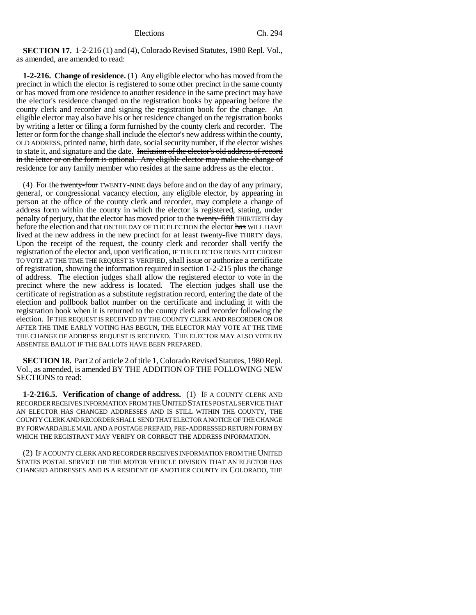**SECTION 17.** 1-2-216 (1) and (4), Colorado Revised Statutes, 1980 Repl. Vol., as amended, are amended to read:

**1-2-216. Change of residence.** (1) Any eligible elector who has moved from the precinct in which the elector is registered to some other precinct in the same county or has moved from one residence to another residence in the same precinct may have the elector's residence changed on the registration books by appearing before the county clerk and recorder and signing the registration book for the change. An eligible elector may also have his or her residence changed on the registration books by writing a letter or filing a form furnished by the county clerk and recorder. The letter or form for the change shall include the elector's new address within the county, OLD ADDRESS, printed name, birth date, social security number, if the elector wishes to state it, and signature and the date. Inclusion of the elector's old address of record in the letter or on the form is optional. Any eligible elector may make the change of residence for any family member who resides at the same address as the elector.

(4) For the twenty-four TWENTY-NINE days before and on the day of any primary, general, or congressional vacancy election, any eligible elector, by appearing in person at the office of the county clerk and recorder, may complete a change of address form within the county in which the elector is registered, stating, under penalty of perjury, that the elector has moved prior to the twenty-fifth THIRTIETH day before the election and that ON THE DAY OF THE ELECTION the elector has WILL HAVE lived at the new address in the new precinct for at least twenty-five THIRTY days. Upon the receipt of the request, the county clerk and recorder shall verify the registration of the elector and, upon verification, IF THE ELECTOR DOES NOT CHOOSE TO VOTE AT THE TIME THE REQUEST IS VERIFIED, shall issue or authorize a certificate of registration, showing the information required in section 1-2-215 plus the change of address. The election judges shall allow the registered elector to vote in the precinct where the new address is located. The election judges shall use the certificate of registration as a substitute registration record, entering the date of the election and pollbook ballot number on the certificate and including it with the registration book when it is returned to the county clerk and recorder following the election. IF THE REQUEST IS RECEIVED BY THE COUNTY CLERK AND RECORDER ON OR AFTER THE TIME EARLY VOTING HAS BEGUN, THE ELECTOR MAY VOTE AT THE TIME THE CHANGE OF ADDRESS REQUEST IS RECEIVED. THE ELECTOR MAY ALSO VOTE BY ABSENTEE BALLOT IF THE BALLOTS HAVE BEEN PREPARED.

**SECTION 18.** Part 2 of article 2 of title 1, Colorado Revised Statutes, 1980 Repl. Vol., as amended, is amended BY THE ADDITION OF THE FOLLOWING NEW SECTIONS to read:

**1-2-216.5. Verification of change of address.** (1) IF A COUNTY CLERK AND RECORDER RECEIVES INFORMATION FROM THE UNITED STATES POSTAL SERVICE THAT AN ELECTOR HAS CHANGED ADDRESSES AND IS STILL WITHIN THE COUNTY, THE COUNTY CLERK AND RECORDER SHALL SEND THAT ELECTOR A NOTICE OF THE CHANGE BY FORWARDABLE MAIL AND A POSTAGE PREPAID, PRE-ADDRESSED RETURN FORM BY WHICH THE REGISTRANT MAY VERIFY OR CORRECT THE ADDRESS INFORMATION.

(2) IF A COUNTY CLERK AND RECORDER RECEIVES INFORMATION FROM THE UNITED STATES POSTAL SERVICE OR THE MOTOR VEHICLE DIVISION THAT AN ELECTOR HAS CHANGED ADDRESSES AND IS A RESIDENT OF ANOTHER COUNTY IN COLORADO, THE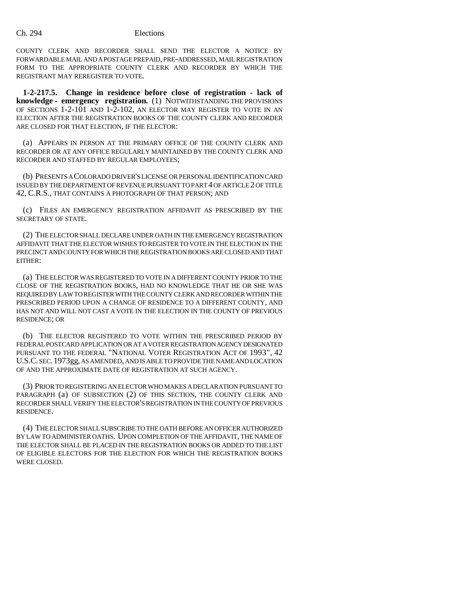COUNTY CLERK AND RECORDER SHALL SEND THE ELECTOR A NOTICE BY FORWARDABLE MAIL AND A POSTAGE PREPAID, PRE-ADDRESSED, MAIL REGISTRATION FORM TO THE APPROPRIATE COUNTY CLERK AND RECORDER BY WHICH THE REGISTRANT MAY REREGISTER TO VOTE.

**1-2-217.5. Change in residence before close of registration - lack of knowledge - emergency registration.** (1) NOTWITHSTANDING THE PROVISIONS OF SECTIONS 1-2-101 AND 1-2-102, AN ELECTOR MAY REGISTER TO VOTE IN AN ELECTION AFTER THE REGISTRATION BOOKS OF THE COUNTY CLERK AND RECORDER ARE CLOSED FOR THAT ELECTION, IF THE ELECTOR:

(a) APPEARS IN PERSON AT THE PRIMARY OFFICE OF THE COUNTY CLERK AND RECORDER OR AT ANY OFFICE REGULARLY MAINTAINED BY THE COUNTY CLERK AND RECORDER AND STAFFED BY REGULAR EMPLOYEES;

(b) PRESENTS A COLORADO DRIVER'S LICENSE OR PERSONAL IDENTIFICATION CARD ISSUED BY THE DEPARTMENT OF REVENUE PURSUANT TO PART 4 OF ARTICLE 2 OF TITLE 42, C.R.S., THAT CONTAINS A PHOTOGRAPH OF THAT PERSON; AND

(c) FILES AN EMERGENCY REGISTRATION AFFIDAVIT AS PRESCRIBED BY THE SECRETARY OF STATE.

(2) THE ELECTOR SHALL DECLARE UNDER OATH IN THE EMERGENCY REGISTRATION AFFIDAVIT THAT THE ELECTOR WISHES TO REGISTER TO VOTE IN THE ELECTION IN THE PRECINCT AND COUNTY FOR WHICH THE REGISTRATION BOOKS ARE CLOSED AND THAT EITHER:

(a) THE ELECTOR WAS REGISTERED TO VOTE IN A DIFFERENT COUNTY PRIOR TO THE CLOSE OF THE REGISTRATION BOOKS, HAD NO KNOWLEDGE THAT HE OR SHE WAS REQUIRED BY LAW TO REGISTER WITH THE COUNTY CLERK AND RECORDER WITHIN THE PRESCRIBED PERIOD UPON A CHANGE OF RESIDENCE TO A DIFFERENT COUNTY, AND HAS NOT AND WILL NOT CAST A VOTE IN THE ELECTION IN THE COUNTY OF PREVIOUS RESIDENCE; OR

(b) THE ELECTOR REGISTERED TO VOTE WITHIN THE PRESCRIBED PERIOD BY FEDERAL POSTCARD APPLICATION OR AT A VOTER REGISTRATION AGENCY DESIGNATED PURSUANT TO THE FEDERAL "NATIONAL VOTER REGISTRATION ACT OF 1993", 42 U.S.C. SEC.1973gg, AS AMENDED, AND IS ABLE TO PROVIDE THE NAME AND LOCATION OF AND THE APPROXIMATE DATE OF REGISTRATION AT SUCH AGENCY.

(3) PRIOR TO REGISTERING AN ELECTOR WHO MAKES A DECLARATION PURSUANT TO PARAGRAPH (a) OF SUBSECTION (2) OF THIS SECTION, THE COUNTY CLERK AND RECORDER SHALL VERIFY THE ELECTOR'S REGISTRATION IN THE COUNTY OF PREVIOUS RESIDENCE.

(4) THE ELECTOR SHALL SUBSCRIBE TO THE OATH BEFORE AN OFFICER AUTHORIZED BY LAW TO ADMINISTER OATHS. UPON COMPLETION OF THE AFFIDAVIT, THE NAME OF THE ELECTOR SHALL BE PLACED IN THE REGISTRATION BOOKS OR ADDED TO THE LIST OF ELIGIBLE ELECTORS FOR THE ELECTION FOR WHICH THE REGISTRATION BOOKS WERE CLOSED.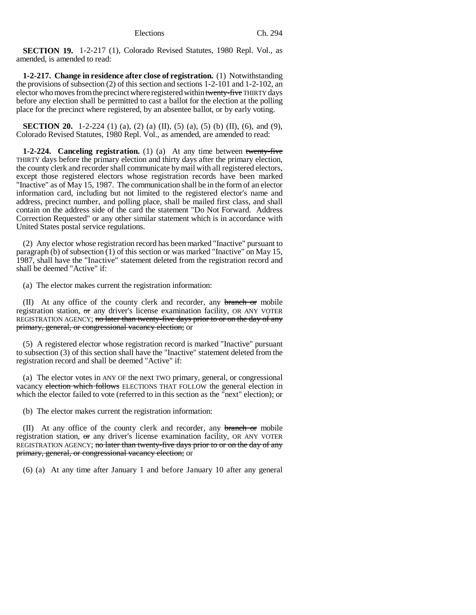**SECTION 19.** 1-2-217 (1), Colorado Revised Statutes, 1980 Repl. Vol., as amended, is amended to read:

**1-2-217. Change in residence after close of registration.** (1) Notwithstanding the provisions of subsection (2) of this section and sections 1-2-101 and 1-2-102, an elector who moves from the precinct where registered within twenty-five THIRTY days before any election shall be permitted to cast a ballot for the election at the polling place for the precinct where registered, by an absentee ballot, or by early voting.

**SECTION 20.** 1-2-224 (1) (a), (2) (a) (II), (5) (a), (5) (b) (II), (6), and (9), Colorado Revised Statutes, 1980 Repl. Vol., as amended, are amended to read:

**1-2-224. Canceling registration.** (1) (a) At any time between twenty-five THIRTY days before the primary election and thirty days after the primary election, the county clerk and recorder shall communicate by mail with all registered electors, except those registered electors whose registration records have been marked "Inactive" as of May 15, 1987. The communication shall be in the form of an elector information card, including but not limited to the registered elector's name and address, precinct number, and polling place, shall be mailed first class, and shall contain on the address side of the card the statement "Do Not Forward. Address Correction Requested" or any other similar statement which is in accordance with United States postal service regulations.

(2) Any elector whose registration record has been marked "Inactive" pursuant to paragraph (b) of subsection (1) of this section or was marked "Inactive" on May 15, 1987, shall have the "Inactive" statement deleted from the registration record and shall be deemed "Active" if:

(a) The elector makes current the registration information:

(II) At any office of the county clerk and recorder, any branch or mobile registration station, or any driver's license examination facility, OR ANY VOTER REGISTRATION AGENCY; no later than twenty-five days prior to or on the day of any primary, general, or congressional vacancy election; or

(5) A registered elector whose registration record is marked "Inactive" pursuant to subsection (3) of this section shall have the "Inactive" statement deleted from the registration record and shall be deemed "Active" if:

(a) The elector votes in ANY OF the next TWO primary, general, or congressional vacancy election which follows ELECTIONS THAT FOLLOW the general election in which the elector failed to vote (referred to in this section as the "next" election); or

(b) The elector makes current the registration information:

(II) At any office of the county clerk and recorder, any branch or mobile registration station,  $\sigma$  any driver's license examination facility, OR ANY VOTER REGISTRATION AGENCY; no later than twenty-five days prior to or on the day of any primary, general, or congressional vacancy election; or

(6) (a) At any time after January 1 and before January 10 after any general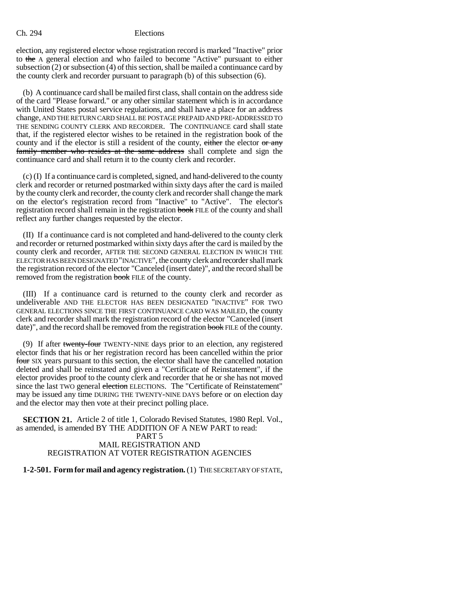election, any registered elector whose registration record is marked "Inactive" prior to the A general election and who failed to become "Active" pursuant to either subsection (2) or subsection (4) of this section, shall be mailed a continuance card by the county clerk and recorder pursuant to paragraph (b) of this subsection (6).

(b) A continuance card shall be mailed first class, shall contain on the address side of the card "Please forward." or any other similar statement which is in accordance with United States postal service regulations, and shall have a place for an address change, AND THE RETURN CARD SHALL BE POSTAGE PREPAID AND PRE-ADDRESSED TO THE SENDING COUNTY CLERK AND RECORDER. The CONTINUANCE card shall state that, if the registered elector wishes to be retained in the registration book of the county and if the elector is still a resident of the county, either the elector or any family member who resides at the same address shall complete and sign the continuance card and shall return it to the county clerk and recorder.

(c) (I) If a continuance card is completed, signed, and hand-delivered to the county clerk and recorder or returned postmarked within sixty days after the card is mailed by the county clerk and recorder, the county clerk and recorder shall change the mark on the elector's registration record from "Inactive" to "Active". The elector's registration record shall remain in the registration book FILE of the county and shall reflect any further changes requested by the elector.

(II) If a continuance card is not completed and hand-delivered to the county clerk and recorder or returned postmarked within sixty days after the card is mailed by the county clerk and recorder, AFTER THE SECOND GENERAL ELECTION IN WHICH THE ELECTOR HAS BEEN DESIGNATED "INACTIVE", the county clerk and recorder shall mark the registration record of the elector "Canceled (insert date)", and the record shall be removed from the registration book FILE of the county.

(III) If a continuance card is returned to the county clerk and recorder as undeliverable AND THE ELECTOR HAS BEEN DESIGNATED "INACTIVE" FOR TWO GENERAL ELECTIONS SINCE THE FIRST CONTINUANCE CARD WAS MAILED, the county clerk and recorder shall mark the registration record of the elector "Canceled (insert date)", and the record shall be removed from the registration book FILE of the county.

(9) If after twenty-four TWENTY-NINE days prior to an election, any registered elector finds that his or her registration record has been cancelled within the prior four SIX years pursuant to this section, the elector shall have the cancelled notation deleted and shall be reinstated and given a "Certificate of Reinstatement", if the elector provides proof to the county clerk and recorder that he or she has not moved since the last TWO general election ELECTIONS. The "Certificate of Reinstatement" may be issued any time DURING THE TWENTY-NINE DAYS before or on election day and the elector may then vote at their precinct polling place.

**SECTION 21.** Article 2 of title 1, Colorado Revised Statutes, 1980 Repl. Vol., as amended, is amended BY THE ADDITION OF A NEW PART to read:

### PART 5 MAIL REGISTRATION AND REGISTRATION AT VOTER REGISTRATION AGENCIES

**1-2-501. Form for mail and agency registration.** (1) THE SECRETARY OF STATE,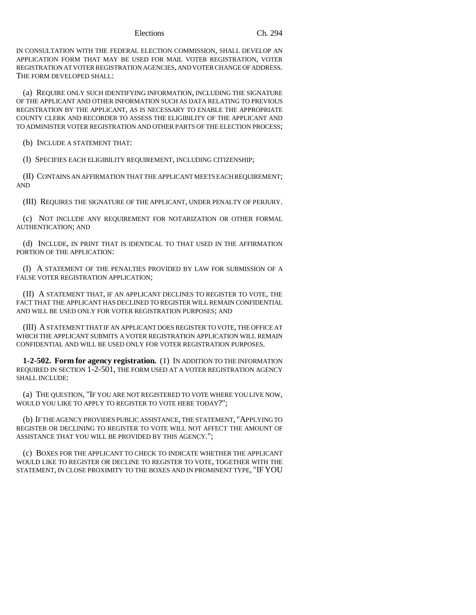IN CONSULTATION WITH THE FEDERAL ELECTION COMMISSION, SHALL DEVELOP AN APPLICATION FORM THAT MAY BE USED FOR MAIL VOTER REGISTRATION, VOTER REGISTRATION AT VOTER REGISTRATION AGENCIES, AND VOTER CHANGE OF ADDRESS. THE FORM DEVELOPED SHALL:

(a) REQUIRE ONLY SUCH IDENTIFYING INFORMATION, INCLUDING THE SIGNATURE OF THE APPLICANT AND OTHER INFORMATION SUCH AS DATA RELATING TO PREVIOUS REGISTRATION BY THE APPLICANT, AS IS NECESSARY TO ENABLE THE APPROPRIATE COUNTY CLERK AND RECORDER TO ASSESS THE ELIGIBILITY OF THE APPLICANT AND TO ADMINISTER VOTER REGISTRATION AND OTHER PARTS OF THE ELECTION PROCESS;

(b) INCLUDE A STATEMENT THAT:

(I) SPECIFIES EACH ELIGIBILITY REQUIREMENT, INCLUDING CITIZENSHIP;

(II) CONTAINS AN AFFIRMATION THAT THE APPLICANT MEETS EACH REQUIREMENT; AND

(III) REQUIRES THE SIGNATURE OF THE APPLICANT, UNDER PENALTY OF PERJURY.

(c) NOT INCLUDE ANY REQUIREMENT FOR NOTARIZATION OR OTHER FORMAL AUTHENTICATION; AND

(d) INCLUDE, IN PRINT THAT IS IDENTICAL TO THAT USED IN THE AFFIRMATION PORTION OF THE APPLICATION:

(I) A STATEMENT OF THE PENALTIES PROVIDED BY LAW FOR SUBMISSION OF A FALSE VOTER REGISTRATION APPLICATION;

(II) A STATEMENT THAT, IF AN APPLICANT DECLINES TO REGISTER TO VOTE, THE FACT THAT THE APPLICANT HAS DECLINED TO REGISTER WILL REMAIN CONFIDENTIAL AND WILL BE USED ONLY FOR VOTER REGISTRATION PURPOSES; AND

(III) A STATEMENT THAT IF AN APPLICANT DOES REGISTER TO VOTE, THE OFFICE AT WHICH THE APPLICANT SUBMITS A VOTER REGISTRATION APPLICATION WILL REMAIN CONFIDENTIAL AND WILL BE USED ONLY FOR VOTER REGISTRATION PURPOSES.

**1-2-502. Form for agency registration.** (1) IN ADDITION TO THE INFORMATION REQUIRED IN SECTION 1-2-501, THE FORM USED AT A VOTER REGISTRATION AGENCY SHALL INCLUDE:

(a) THE QUESTION, "IF YOU ARE NOT REGISTERED TO VOTE WHERE YOU LIVE NOW, WOULD YOU LIKE TO APPLY TO REGISTER TO VOTE HERE TODAY?":

(b) IF THE AGENCY PROVIDES PUBLIC ASSISTANCE, THE STATEMENT, "APPLYING TO REGISTER OR DECLINING TO REGISTER TO VOTE WILL NOT AFFECT THE AMOUNT OF ASSISTANCE THAT YOU WILL BE PROVIDED BY THIS AGENCY.";

(c) BOXES FOR THE APPLICANT TO CHECK TO INDICATE WHETHER THE APPLICANT WOULD LIKE TO REGISTER OR DECLINE TO REGISTER TO VOTE, TOGETHER WITH THE STATEMENT, IN CLOSE PROXIMITY TO THE BOXES AND IN PROMINENT TYPE, "IF YOU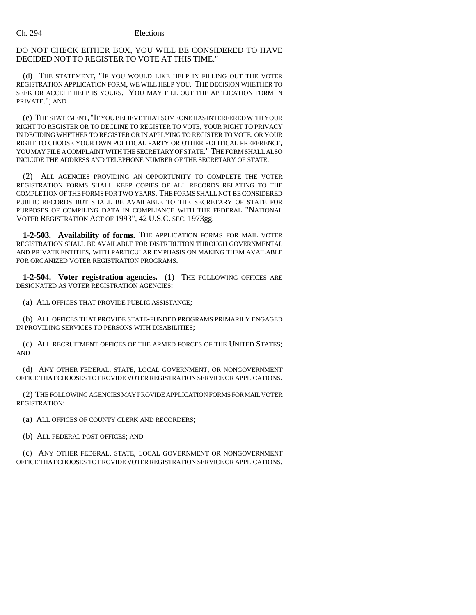### DO NOT CHECK EITHER BOX, YOU WILL BE CONSIDERED TO HAVE DECIDED NOT TO REGISTER TO VOTE AT THIS TIME."

(d) THE STATEMENT, "IF YOU WOULD LIKE HELP IN FILLING OUT THE VOTER REGISTRATION APPLICATION FORM, WE WILL HELP YOU. THE DECISION WHETHER TO SEEK OR ACCEPT HELP IS YOURS. YOU MAY FILL OUT THE APPLICATION FORM IN PRIVATE."; AND

(e) THE STATEMENT, "IF YOU BELIEVE THAT SOMEONE HAS INTERFERED WITH YOUR RIGHT TO REGISTER OR TO DECLINE TO REGISTER TO VOTE, YOUR RIGHT TO PRIVACY IN DECIDING WHETHER TO REGISTER OR IN APPLYING TO REGISTER TO VOTE, OR YOUR RIGHT TO CHOOSE YOUR OWN POLITICAL PARTY OR OTHER POLITICAL PREFERENCE, YOU MAY FILE A COMPLAINT WITH THE SECRETARY OF STATE." THE FORM SHALL ALSO INCLUDE THE ADDRESS AND TELEPHONE NUMBER OF THE SECRETARY OF STATE.

(2) ALL AGENCIES PROVIDING AN OPPORTUNITY TO COMPLETE THE VOTER REGISTRATION FORMS SHALL KEEP COPIES OF ALL RECORDS RELATING TO THE COMPLETION OF THE FORMS FOR TWO YEARS. THE FORMS SHALL NOT BE CONSIDERED PUBLIC RECORDS BUT SHALL BE AVAILABLE TO THE SECRETARY OF STATE FOR PURPOSES OF COMPILING DATA IN COMPLIANCE WITH THE FEDERAL "NATIONAL VOTER REGISTRATION ACT OF 1993", 42 U.S.C. SEC. 1973gg.

**1-2-503. Availability of forms.** THE APPLICATION FORMS FOR MAIL VOTER REGISTRATION SHALL BE AVAILABLE FOR DISTRIBUTION THROUGH GOVERNMENTAL AND PRIVATE ENTITIES, WITH PARTICULAR EMPHASIS ON MAKING THEM AVAILABLE FOR ORGANIZED VOTER REGISTRATION PROGRAMS.

**1-2-504. Voter registration agencies.** (1) THE FOLLOWING OFFICES ARE DESIGNATED AS VOTER REGISTRATION AGENCIES:

(a) ALL OFFICES THAT PROVIDE PUBLIC ASSISTANCE;

(b) ALL OFFICES THAT PROVIDE STATE-FUNDED PROGRAMS PRIMARILY ENGAGED IN PROVIDING SERVICES TO PERSONS WITH DISABILITIES;

(c) ALL RECRUITMENT OFFICES OF THE ARMED FORCES OF THE UNITED STATES; AND

(d) ANY OTHER FEDERAL, STATE, LOCAL GOVERNMENT, OR NONGOVERNMENT OFFICE THAT CHOOSES TO PROVIDE VOTER REGISTRATION SERVICE OR APPLICATIONS.

(2) THE FOLLOWING AGENCIES MAY PROVIDE APPLICATION FORMS FOR MAIL VOTER REGISTRATION:

(a) ALL OFFICES OF COUNTY CLERK AND RECORDERS;

(b) ALL FEDERAL POST OFFICES; AND

(c) ANY OTHER FEDERAL, STATE, LOCAL GOVERNMENT OR NONGOVERNMENT OFFICE THAT CHOOSES TO PROVIDE VOTER REGISTRATION SERVICE OR APPLICATIONS.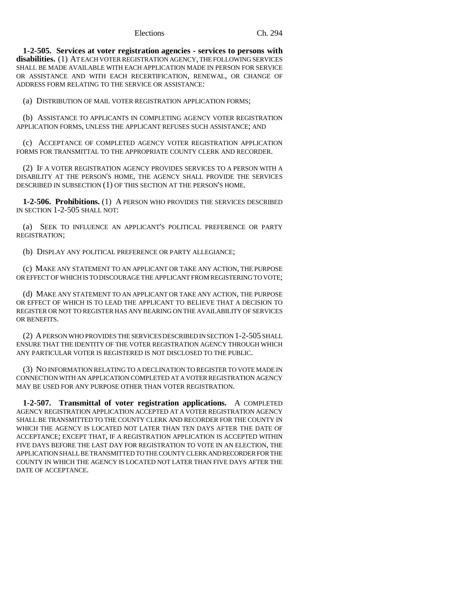**1-2-505. Services at voter registration agencies - services to persons with disabilities.** (1) AT EACH VOTER REGISTRATION AGENCY, THE FOLLOWING SERVICES SHALL BE MADE AVAILABLE WITH EACH APPLICATION MADE IN PERSON FOR SERVICE OR ASSISTANCE AND WITH EACH RECERTIFICATION, RENEWAL, OR CHANGE OF ADDRESS FORM RELATING TO THE SERVICE OR ASSISTANCE:

(a) DISTRIBUTION OF MAIL VOTER REGISTRATION APPLICATION FORMS;

(b) ASSISTANCE TO APPLICANTS IN COMPLETING AGENCY VOTER REGISTRATION APPLICATION FORMS, UNLESS THE APPLICANT REFUSES SUCH ASSISTANCE; AND

(c) ACCEPTANCE OF COMPLETED AGENCY VOTER REGISTRATION APPLICATION FORMS FOR TRANSMITTAL TO THE APPROPRIATE COUNTY CLERK AND RECORDER.

(2) IF A VOTER REGISTRATION AGENCY PROVIDES SERVICES TO A PERSON WITH A DISABILITY AT THE PERSON'S HOME, THE AGENCY SHALL PROVIDE THE SERVICES DESCRIBED IN SUBSECTION (1) OF THIS SECTION AT THE PERSON'S HOME.

**1-2-506. Prohibitions.** (1) A PERSON WHO PROVIDES THE SERVICES DESCRIBED IN SECTION 1-2-505 SHALL NOT:

(a) SEEK TO INFLUENCE AN APPLICANT'S POLITICAL PREFERENCE OR PARTY REGISTRATION;

(b) DISPLAY ANY POLITICAL PREFERENCE OR PARTY ALLEGIANCE;

(c) MAKE ANY STATEMENT TO AN APPLICANT OR TAKE ANY ACTION, THE PURPOSE OR EFFECT OF WHICH IS TO DISCOURAGE THE APPLICANT FROM REGISTERING TO VOTE;

(d) MAKE ANY STATEMENT TO AN APPLICANT OR TAKE ANY ACTION, THE PURPOSE OR EFFECT OF WHICH IS TO LEAD THE APPLICANT TO BELIEVE THAT A DECISION TO REGISTER OR NOT TO REGISTER HAS ANY BEARING ON THE AVAILABILITY OF SERVICES OR BENEFITS.

(2) A PERSON WHO PROVIDES THE SERVICES DESCRIBED IN SECTION 1-2-505 SHALL ENSURE THAT THE IDENTITY OF THE VOTER REGISTRATION AGENCY THROUGH WHICH ANY PARTICULAR VOTER IS REGISTERED IS NOT DISCLOSED TO THE PUBLIC.

(3) NO INFORMATION RELATING TO A DECLINATION TO REGISTER TO VOTE MADE IN CONNECTION WITH AN APPLICATION COMPLETED AT A VOTER REGISTRATION AGENCY MAY BE USED FOR ANY PURPOSE OTHER THAN VOTER REGISTRATION.

**1-2-507. Transmittal of voter registration applications.** A COMPLETED AGENCY REGISTRATION APPLICATION ACCEPTED AT A VOTER REGISTRATION AGENCY SHALL BE TRANSMITTED TO THE COUNTY CLERK AND RECORDER FOR THE COUNTY IN WHICH THE AGENCY IS LOCATED NOT LATER THAN TEN DAYS AFTER THE DATE OF ACCEPTANCE; EXCEPT THAT, IF A REGISTRATION APPLICATION IS ACCEPTED WITHIN FIVE DAYS BEFORE THE LAST DAY FOR REGISTRATION TO VOTE IN AN ELECTION, THE APPLICATION SHALL BE TRANSMITTED TO THE COUNTY CLERK AND RECORDER FOR THE COUNTY IN WHICH THE AGENCY IS LOCATED NOT LATER THAN FIVE DAYS AFTER THE DATE OF ACCEPTANCE.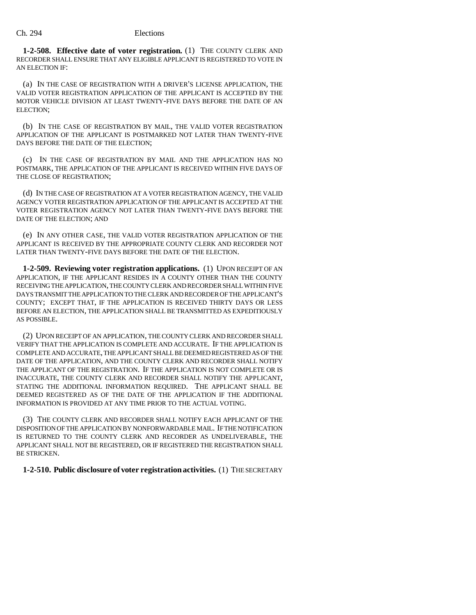**1-2-508. Effective date of voter registration.** (1) THE COUNTY CLERK AND RECORDER SHALL ENSURE THAT ANY ELIGIBLE APPLICANT IS REGISTERED TO VOTE IN AN ELECTION IF:

(a) IN THE CASE OF REGISTRATION WITH A DRIVER'S LICENSE APPLICATION, THE VALID VOTER REGISTRATION APPLICATION OF THE APPLICANT IS ACCEPTED BY THE MOTOR VEHICLE DIVISION AT LEAST TWENTY-FIVE DAYS BEFORE THE DATE OF AN ELECTION;

(b) IN THE CASE OF REGISTRATION BY MAIL, THE VALID VOTER REGISTRATION APPLICATION OF THE APPLICANT IS POSTMARKED NOT LATER THAN TWENTY-FIVE DAYS BEFORE THE DATE OF THE ELECTION;

(c) IN THE CASE OF REGISTRATION BY MAIL AND THE APPLICATION HAS NO POSTMARK, THE APPLICATION OF THE APPLICANT IS RECEIVED WITHIN FIVE DAYS OF THE CLOSE OF REGISTRATION;

(d) IN THE CASE OF REGISTRATION AT A VOTER REGISTRATION AGENCY, THE VALID AGENCY VOTER REGISTRATION APPLICATION OF THE APPLICANT IS ACCEPTED AT THE VOTER REGISTRATION AGENCY NOT LATER THAN TWENTY-FIVE DAYS BEFORE THE DATE OF THE ELECTION; AND

(e) IN ANY OTHER CASE, THE VALID VOTER REGISTRATION APPLICATION OF THE APPLICANT IS RECEIVED BY THE APPROPRIATE COUNTY CLERK AND RECORDER NOT LATER THAN TWENTY-FIVE DAYS BEFORE THE DATE OF THE ELECTION.

**1-2-509. Reviewing voter registration applications.** (1) UPON RECEIPT OF AN APPLICATION, IF THE APPLICANT RESIDES IN A COUNTY OTHER THAN THE COUNTY RECEIVING THE APPLICATION, THE COUNTY CLERK AND RECORDER SHALL WITHIN FIVE DAYS TRANSMIT THE APPLICATION TO THE CLERK AND RECORDER OF THE APPLICANT'S COUNTY; EXCEPT THAT, IF THE APPLICATION IS RECEIVED THIRTY DAYS OR LESS BEFORE AN ELECTION, THE APPLICATION SHALL BE TRANSMITTED AS EXPEDITIOUSLY AS POSSIBLE.

(2) UPON RECEIPT OF AN APPLICATION, THE COUNTY CLERK AND RECORDER SHALL VERIFY THAT THE APPLICATION IS COMPLETE AND ACCURATE. IF THE APPLICATION IS COMPLETE AND ACCURATE, THE APPLICANT SHALL BE DEEMED REGISTERED AS OF THE DATE OF THE APPLICATION, AND THE COUNTY CLERK AND RECORDER SHALL NOTIFY THE APPLICANT OF THE REGISTRATION. IF THE APPLICATION IS NOT COMPLETE OR IS INACCURATE, THE COUNTY CLERK AND RECORDER SHALL NOTIFY THE APPLICANT, STATING THE ADDITIONAL INFORMATION REQUIRED. THE APPLICANT SHALL BE DEEMED REGISTERED AS OF THE DATE OF THE APPLICATION IF THE ADDITIONAL INFORMATION IS PROVIDED AT ANY TIME PRIOR TO THE ACTUAL VOTING.

(3) THE COUNTY CLERK AND RECORDER SHALL NOTIFY EACH APPLICANT OF THE DISPOSITION OF THE APPLICATION BY NONFORWARDABLE MAIL. IF THE NOTIFICATION IS RETURNED TO THE COUNTY CLERK AND RECORDER AS UNDELIVERABLE, THE APPLICANT SHALL NOT BE REGISTERED, OR IF REGISTERED THE REGISTRATION SHALL BE STRICKEN.

#### **1-2-510. Public disclosure of voter registration activities.** (1) THE SECRETARY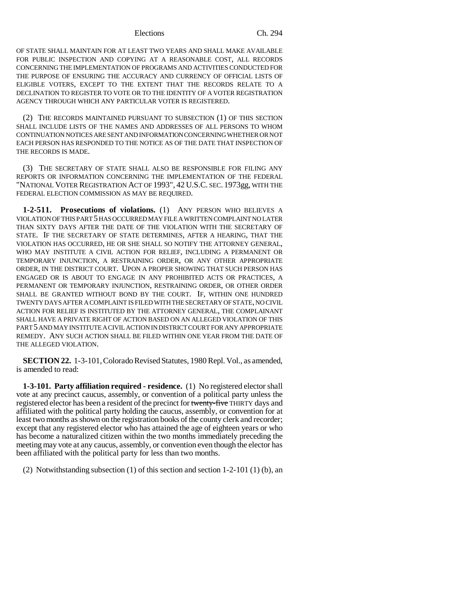OF STATE SHALL MAINTAIN FOR AT LEAST TWO YEARS AND SHALL MAKE AVAILABLE FOR PUBLIC INSPECTION AND COPYING AT A REASONABLE COST, ALL RECORDS CONCERNING THE IMPLEMENTATION OF PROGRAMS AND ACTIVITIES CONDUCTED FOR THE PURPOSE OF ENSURING THE ACCURACY AND CURRENCY OF OFFICIAL LISTS OF ELIGIBLE VOTERS, EXCEPT TO THE EXTENT THAT THE RECORDS RELATE TO A DECLINATION TO REGISTER TO VOTE OR TO THE IDENTITY OF A VOTER REGISTRATION AGENCY THROUGH WHICH ANY PARTICULAR VOTER IS REGISTERED.

(2) THE RECORDS MAINTAINED PURSUANT TO SUBSECTION (1) OF THIS SECTION SHALL INCLUDE LISTS OF THE NAMES AND ADDRESSES OF ALL PERSONS TO WHOM CONTINUATION NOTICES ARE SENT AND INFORMATION CONCERNING WHETHER OR NOT EACH PERSON HAS RESPONDED TO THE NOTICE AS OF THE DATE THAT INSPECTION OF THE RECORDS IS MADE.

(3) THE SECRETARY OF STATE SHALL ALSO BE RESPONSIBLE FOR FILING ANY REPORTS OR INFORMATION CONCERNING THE IMPLEMENTATION OF THE FEDERAL "NATIONAL VOTER REGISTRATION ACT OF 1993", 42 U.S.C. SEC. 1973gg, WITH THE FEDERAL ELECTION COMMISSION AS MAY BE REQUIRED.

**1-2-511. Prosecutions of violations.** (1) ANY PERSON WHO BELIEVES A VIOLATION OF THIS PART 5 HAS OCCURRED MAY FILE A WRITTEN COMPLAINT NO LATER THAN SIXTY DAYS AFTER THE DATE OF THE VIOLATION WITH THE SECRETARY OF STATE. IF THE SECRETARY OF STATE DETERMINES, AFTER A HEARING, THAT THE VIOLATION HAS OCCURRED, HE OR SHE SHALL SO NOTIFY THE ATTORNEY GENERAL, WHO MAY INSTITUTE A CIVIL ACTION FOR RELIEF, INCLUDING A PERMANENT OR TEMPORARY INJUNCTION, A RESTRAINING ORDER, OR ANY OTHER APPROPRIATE ORDER, IN THE DISTRICT COURT. UPON A PROPER SHOWING THAT SUCH PERSON HAS ENGAGED OR IS ABOUT TO ENGAGE IN ANY PROHIBITED ACTS OR PRACTICES, A PERMANENT OR TEMPORARY INJUNCTION, RESTRAINING ORDER, OR OTHER ORDER SHALL BE GRANTED WITHOUT BOND BY THE COURT. IF, WITHIN ONE HUNDRED TWENTY DAYS AFTER A COMPLAINT IS FILED WITH THE SECRETARY OF STATE, NO CIVIL ACTION FOR RELIEF IS INSTITUTED BY THE ATTORNEY GENERAL, THE COMPLAINANT SHALL HAVE A PRIVATE RIGHT OF ACTION BASED ON AN ALLEGED VIOLATION OF THIS PART 5 AND MAY INSTITUTE A CIVIL ACTION IN DISTRICT COURT FOR ANY APPROPRIATE REMEDY. ANY SUCH ACTION SHALL BE FILED WITHIN ONE YEAR FROM THE DATE OF THE ALLEGED VIOLATION.

**SECTION 22.** 1-3-101, Colorado Revised Statutes, 1980 Repl. Vol., as amended, is amended to read:

**1-3-101. Party affiliation required - residence.** (1) No registered elector shall vote at any precinct caucus, assembly, or convention of a political party unless the registered elector has been a resident of the precinct for twenty-five THIRTY days and affiliated with the political party holding the caucus, assembly, or convention for at least two months as shown on the registration books of the county clerk and recorder; except that any registered elector who has attained the age of eighteen years or who has become a naturalized citizen within the two months immediately preceding the meeting may vote at any caucus, assembly, or convention even though the elector has been affiliated with the political party for less than two months.

(2) Notwithstanding subsection (1) of this section and section 1-2-101 (1) (b), an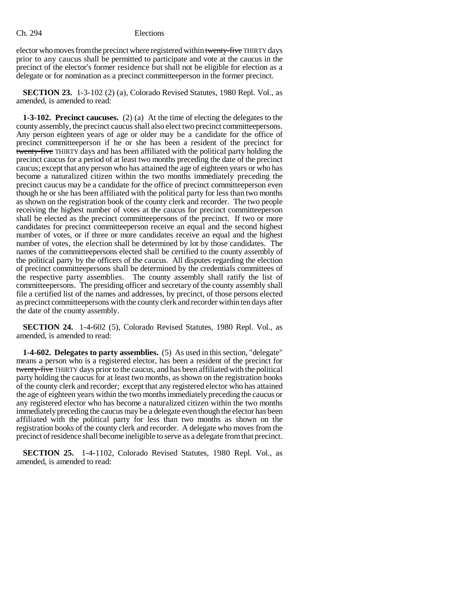elector who moves from the precinct where registered within twenty-five THIRTY days prior to any caucus shall be permitted to participate and vote at the caucus in the precinct of the elector's former residence but shall not be eligible for election as a delegate or for nomination as a precinct committeeperson in the former precinct.

**SECTION 23.** 1-3-102 (2) (a), Colorado Revised Statutes, 1980 Repl. Vol., as amended, is amended to read:

**1-3-102. Precinct caucuses.** (2) (a) At the time of electing the delegates to the county assembly, the precinct caucus shall also elect two precinct committeepersons. Any person eighteen years of age or older may be a candidate for the office of precinct committeeperson if he or she has been a resident of the precinct for twenty-five THIRTY days and has been affiliated with the political party holding the precinct caucus for a period of at least two months preceding the date of the precinct caucus; except that any person who has attained the age of eighteen years or who has become a naturalized citizen within the two months immediately preceding the precinct caucus may be a candidate for the office of precinct committeeperson even though he or she has been affiliated with the political party for less than two months as shown on the registration book of the county clerk and recorder. The two people receiving the highest number of votes at the caucus for precinct committeeperson shall be elected as the precinct committeepersons of the precinct. If two or more candidates for precinct committeeperson receive an equal and the second highest number of votes, or if three or more candidates receive an equal and the highest number of votes, the election shall be determined by lot by those candidates. The names of the committeepersons elected shall be certified to the county assembly of the political party by the officers of the caucus. All disputes regarding the election of precinct committeepersons shall be determined by the credentials committees of the respective party assemblies. The county assembly shall ratify the list of committeepersons. The presiding officer and secretary of the county assembly shall file a certified list of the names and addresses, by precinct, of those persons elected as precinct committeepersons with the county clerk and recorder within ten days after the date of the county assembly.

**SECTION 24.** 1-4-602 (5), Colorado Revised Statutes, 1980 Repl. Vol., as amended, is amended to read:

**1-4-602. Delegates to party assemblies.** (5) As used in this section, "delegate" means a person who is a registered elector, has been a resident of the precinct for twenty-five THIRTY days prior to the caucus, and has been affiliated with the political party holding the caucus for at least two months, as shown on the registration books of the county clerk and recorder; except that any registered elector who has attained the age of eighteen years within the two months immediately preceding the caucus or any registered elector who has become a naturalized citizen within the two months immediately preceding the caucus may be a delegate even though the elector has been affiliated with the political party for less than two months as shown on the registration books of the county clerk and recorder. A delegate who moves from the precinct of residence shall become ineligible to serve as a delegate from that precinct.

**SECTION 25.** 1-4-1102, Colorado Revised Statutes, 1980 Repl. Vol., as amended, is amended to read: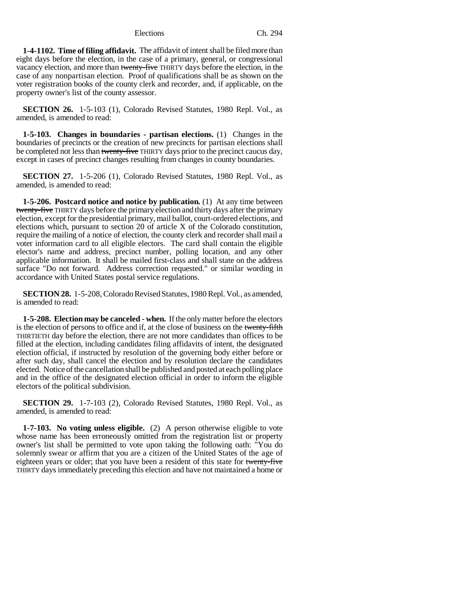**1-4-1102. Time of filing affidavit.** The affidavit of intent shall be filed more than eight days before the election, in the case of a primary, general, or congressional vacancy election, and more than twenty-five THIRTY days before the election, in the case of any nonpartisan election. Proof of qualifications shall be as shown on the voter registration books of the county clerk and recorder, and, if applicable, on the property owner's list of the county assessor.

**SECTION 26.** 1-5-103 (1), Colorado Revised Statutes, 1980 Repl. Vol., as amended, is amended to read:

**1-5-103. Changes in boundaries - partisan elections.** (1) Changes in the boundaries of precincts or the creation of new precincts for partisan elections shall be completed not less than twenty-five THIRTY days prior to the precinct caucus day, except in cases of precinct changes resulting from changes in county boundaries.

**SECTION 27.** 1-5-206 (1), Colorado Revised Statutes, 1980 Repl. Vol., as amended, is amended to read:

**1-5-206. Postcard notice and notice by publication.** (1) At any time between twenty-five THIRTY days before the primary election and thirty days after the primary election, except for the presidential primary, mail ballot, court-ordered elections, and elections which, pursuant to section 20 of article X of the Colorado constitution, require the mailing of a notice of election, the county clerk and recorder shall mail a voter information card to all eligible electors. The card shall contain the eligible elector's name and address, precinct number, polling location, and any other applicable information. It shall be mailed first-class and shall state on the address surface "Do not forward. Address correction requested." or similar wording in accordance with United States postal service regulations.

**SECTION 28.** 1-5-208, Colorado Revised Statutes, 1980 Repl. Vol., as amended, is amended to read:

**1-5-208. Election may be canceled - when.** If the only matter before the electors is the election of persons to office and if, at the close of business on the twenty-fifth THIRTIETH day before the election, there are not more candidates than offices to be filled at the election, including candidates filing affidavits of intent, the designated election official, if instructed by resolution of the governing body either before or after such day, shall cancel the election and by resolution declare the candidates elected. Notice of the cancellation shall be published and posted at each polling place and in the office of the designated election official in order to inform the eligible electors of the political subdivision.

**SECTION 29.** 1-7-103 (2), Colorado Revised Statutes, 1980 Repl. Vol., as amended, is amended to read:

**1-7-103. No voting unless eligible.** (2) A person otherwise eligible to vote whose name has been erroneously omitted from the registration list or property owner's list shall be permitted to vote upon taking the following oath: "You do solemnly swear or affirm that you are a citizen of the United States of the age of eighteen years or older; that you have been a resident of this state for twenty-five THIRTY days immediately preceding this election and have not maintained a home or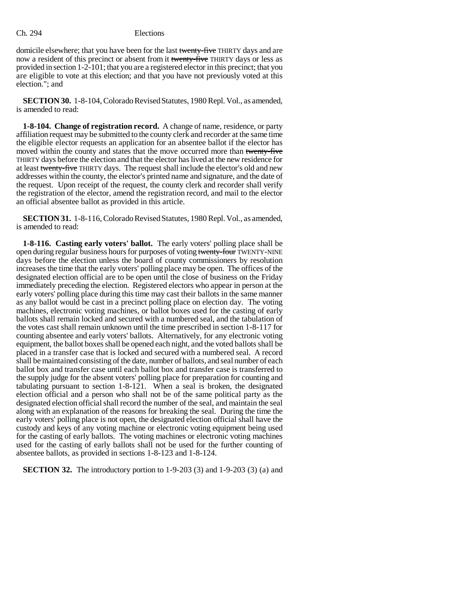domicile elsewhere; that you have been for the last twenty-five THIRTY days and are now a resident of this precinct or absent from it twenty-five THIRTY days or less as provided in section 1-2-101; that you are a registered elector in this precinct; that you are eligible to vote at this election; and that you have not previously voted at this election."; and

**SECTION 30.** 1-8-104, Colorado Revised Statutes, 1980 Repl. Vol., as amended, is amended to read:

**1-8-104. Change of registration record.** A change of name, residence, or party affiliation request may be submitted to the county clerk and recorder at the same time the eligible elector requests an application for an absentee ballot if the elector has moved within the county and states that the move occurred more than twenty-five THIRTY days before the election and that the elector has lived at the new residence for at least twenty-five THIRTY days. The request shall include the elector's old and new addresses within the county, the elector's printed name and signature, and the date of the request. Upon receipt of the request, the county clerk and recorder shall verify the registration of the elector, amend the registration record, and mail to the elector an official absentee ballot as provided in this article.

**SECTION 31.** 1-8-116, Colorado Revised Statutes, 1980 Repl. Vol., as amended, is amended to read:

**1-8-116. Casting early voters' ballot.** The early voters' polling place shall be open during regular business hours for purposes of voting twenty-four TWENTY-NINE days before the election unless the board of county commissioners by resolution increases the time that the early voters' polling place may be open. The offices of the designated election official are to be open until the close of business on the Friday immediately preceding the election. Registered electors who appear in person at the early voters' polling place during this time may cast their ballots in the same manner as any ballot would be cast in a precinct polling place on election day. The voting machines, electronic voting machines, or ballot boxes used for the casting of early ballots shall remain locked and secured with a numbered seal, and the tabulation of the votes cast shall remain unknown until the time prescribed in section 1-8-117 for counting absentee and early voters' ballots. Alternatively, for any electronic voting equipment, the ballot boxes shall be opened each night, and the voted ballots shall be placed in a transfer case that is locked and secured with a numbered seal. A record shall be maintained consisting of the date, number of ballots, and seal number of each ballot box and transfer case until each ballot box and transfer case is transferred to the supply judge for the absent voters' polling place for preparation for counting and tabulating pursuant to section 1-8-121. When a seal is broken, the designated election official and a person who shall not be of the same political party as the designated election official shall record the number of the seal, and maintain the seal along with an explanation of the reasons for breaking the seal. During the time the early voters' polling place is not open, the designated election official shall have the custody and keys of any voting machine or electronic voting equipment being used for the casting of early ballots. The voting machines or electronic voting machines used for the casting of early ballots shall not be used for the further counting of absentee ballots, as provided in sections 1-8-123 and 1-8-124.

**SECTION 32.** The introductory portion to 1-9-203 (3) and 1-9-203 (3) (a) and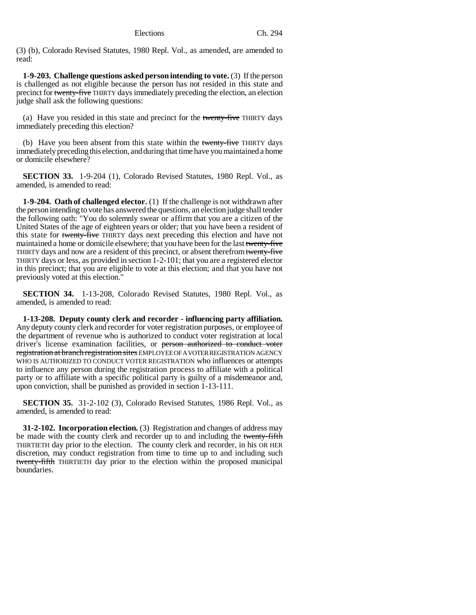(3) (b), Colorado Revised Statutes, 1980 Repl. Vol., as amended, are amended to read:

**1-9-203. Challenge questions asked person intending to vote.** (3) If the person is challenged as not eligible because the person has not resided in this state and precinct for twenty-five THIRTY days immediately preceding the election, an election judge shall ask the following questions:

(a) Have you resided in this state and precinct for the twenty-five THIRTY days immediately preceding this election?

(b) Have you been absent from this state within the twenty-five THIRTY days immediately preceding this election, and during that time have you maintained a home or domicile elsewhere?

**SECTION 33.** 1-9-204 (1), Colorado Revised Statutes, 1980 Repl. Vol., as amended, is amended to read:

**1-9-204. Oath of challenged elector.** (1) If the challenge is not withdrawn after the person intending to vote has answered the questions, an election judge shall tender the following oath: "You do solemnly swear or affirm that you are a citizen of the United States of the age of eighteen years or older; that you have been a resident of this state for twenty-five THIRTY days next preceding this election and have not maintained a home or domicile elsewhere; that you have been for the last twenty-five THIRTY days and now are a resident of this precinct, or absent therefrom twenty-five THIRTY days or less, as provided in section 1-2-101; that you are a registered elector in this precinct; that you are eligible to vote at this election; and that you have not previously voted at this election."

**SECTION 34.** 1-13-208, Colorado Revised Statutes, 1980 Repl. Vol., as amended, is amended to read:

**1-13-208. Deputy county clerk and recorder - influencing party affiliation.** Any deputy county clerk and recorder for voter registration purposes, or employee of the department of revenue who is authorized to conduct voter registration at local driver's license examination facilities, or person authorized to conduct voter registration at branch registration sites EMPLOYEE OF A VOTER REGISTRATION AGENCY WHO IS AUTHORIZED TO CONDUCT VOTER REGISTRATION who influences or attempts to influence any person during the registration process to affiliate with a political party or to affiliate with a specific political party is guilty of a misdemeanor and, upon conviction, shall be punished as provided in section 1-13-111.

**SECTION 35.** 31-2-102 (3), Colorado Revised Statutes, 1986 Repl. Vol., as amended, is amended to read:

**31-2-102. Incorporation election.** (3) Registration and changes of address may be made with the county clerk and recorder up to and including the twenty-fifth THIRTIETH day prior to the election. The county clerk and recorder, in his OR HER discretion, may conduct registration from time to time up to and including such twenty-fifth THIRTIETH day prior to the election within the proposed municipal boundaries.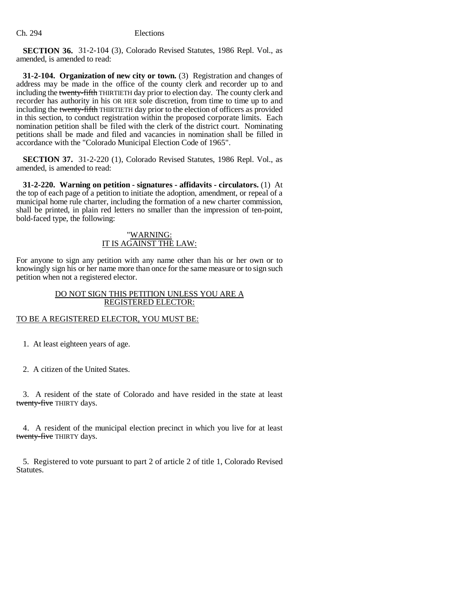**SECTION 36.** 31-2-104 (3), Colorado Revised Statutes, 1986 Repl. Vol., as amended, is amended to read:

**31-2-104. Organization of new city or town.** (3) Registration and changes of address may be made in the office of the county clerk and recorder up to and including the twenty-fifth THIRTIETH day prior to election day. The county clerk and recorder has authority in his OR HER sole discretion, from time to time up to and including the twenty-fifth THIRTIETH day prior to the election of officers as provided in this section, to conduct registration within the proposed corporate limits. Each nomination petition shall be filed with the clerk of the district court. Nominating petitions shall be made and filed and vacancies in nomination shall be filled in accordance with the "Colorado Municipal Election Code of 1965".

**SECTION 37.** 31-2-220 (1), Colorado Revised Statutes, 1986 Repl. Vol., as amended, is amended to read:

**31-2-220. Warning on petition - signatures - affidavits - circulators.** (1) At the top of each page of a petition to initiate the adoption, amendment, or repeal of a municipal home rule charter, including the formation of a new charter commission, shall be printed, in plain red letters no smaller than the impression of ten-point, bold-faced type, the following:

## "WARNING: IT IS AGAINST THE LAW:

For anyone to sign any petition with any name other than his or her own or to knowingly sign his or her name more than once for the same measure or to sign such petition when not a registered elector.

# DO NOT SIGN THIS PETITION UNLESS YOU ARE A REGISTERED ELECTOR:

# TO BE A REGISTERED ELECTOR, YOU MUST BE:

1. At least eighteen years of age.

2. A citizen of the United States.

3. A resident of the state of Colorado and have resided in the state at least twenty-five THIRTY days.

4. A resident of the municipal election precinct in which you live for at least twenty-five THIRTY days.

5. Registered to vote pursuant to part 2 of article 2 of title 1, Colorado Revised Statutes.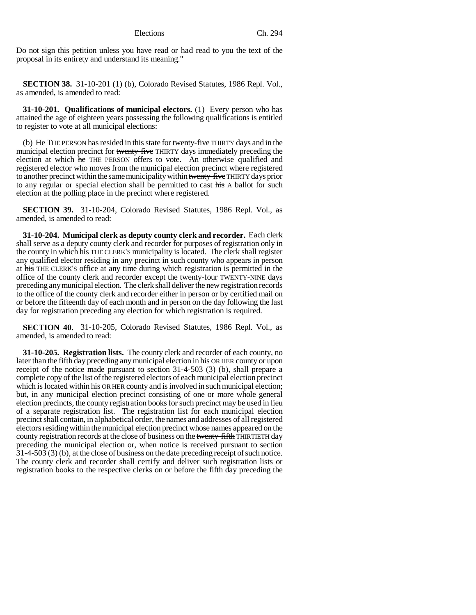Do not sign this petition unless you have read or had read to you the text of the proposal in its entirety and understand its meaning."

**SECTION 38.** 31-10-201 (1) (b), Colorado Revised Statutes, 1986 Repl. Vol., as amended, is amended to read:

**31-10-201. Qualifications of municipal electors.** (1) Every person who has attained the age of eighteen years possessing the following qualifications is entitled to register to vote at all municipal elections:

(b)  $\overline{He}$  THE PERSON has resided in this state for twenty-five THIRTY days and in the municipal election precinct for twenty-five THIRTY days immediately preceding the election at which he THE PERSON offers to vote. An otherwise qualified and registered elector who moves from the municipal election precinct where registered to another precinct within the same municipality within twenty-five THIRTY days prior to any regular or special election shall be permitted to cast his A ballot for such election at the polling place in the precinct where registered.

**SECTION 39.** 31-10-204, Colorado Revised Statutes, 1986 Repl. Vol., as amended, is amended to read:

**31-10-204. Municipal clerk as deputy county clerk and recorder.** Each clerk shall serve as a deputy county clerk and recorder for purposes of registration only in the county in which his THE CLERK'S municipality is located. The clerk shall register any qualified elector residing in any precinct in such county who appears in person at his THE CLERK'S office at any time during which registration is permitted in the office of the county clerk and recorder except the twenty-four TWENTY-NINE days preceding any municipal election. The clerk shall deliver the new registration records to the office of the county clerk and recorder either in person or by certified mail on or before the fifteenth day of each month and in person on the day following the last day for registration preceding any election for which registration is required.

**SECTION 40.** 31-10-205, Colorado Revised Statutes, 1986 Repl. Vol., as amended, is amended to read:

**31-10-205. Registration lists.** The county clerk and recorder of each county, no later than the fifth day preceding any municipal election in his OR HER county or upon receipt of the notice made pursuant to section 31-4-503 (3) (b), shall prepare a complete copy of the list of the registered electors of each municipal election precinct which is located within his OR HER county and is involved in such municipal election; but, in any municipal election precinct consisting of one or more whole general election precincts, the county registration books for such precinct may be used in lieu of a separate registration list. The registration list for each municipal election precinct shall contain, in alphabetical order, the names and addresses of all registered electors residing within the municipal election precinct whose names appeared on the county registration records at the close of business on the twenty-fifth THIRTIETH day preceding the municipal election or, when notice is received pursuant to section 31-4-503 (3) (b), at the close of business on the date preceding receipt of such notice. The county clerk and recorder shall certify and deliver such registration lists or registration books to the respective clerks on or before the fifth day preceding the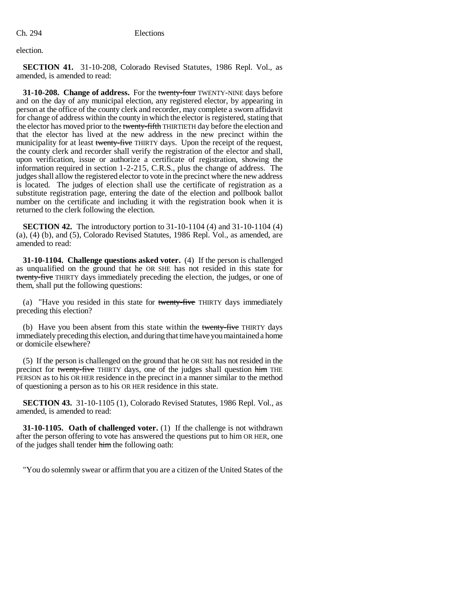election.

**SECTION 41.** 31-10-208, Colorado Revised Statutes, 1986 Repl. Vol., as amended, is amended to read:

**31-10-208. Change of address.** For the twenty-four TWENTY-NINE days before and on the day of any municipal election, any registered elector, by appearing in person at the office of the county clerk and recorder, may complete a sworn affidavit for change of address within the county in which the elector is registered, stating that the elector has moved prior to the twenty-fifth THIRTIETH day before the election and that the elector has lived at the new address in the new precinct within the municipality for at least twenty-five THIRTY days. Upon the receipt of the request, the county clerk and recorder shall verify the registration of the elector and shall, upon verification, issue or authorize a certificate of registration, showing the information required in section 1-2-215, C.R.S., plus the change of address. The judges shall allow the registered elector to vote in the precinct where the new address is located. The judges of election shall use the certificate of registration as a substitute registration page, entering the date of the election and pollbook ballot number on the certificate and including it with the registration book when it is returned to the clerk following the election.

**SECTION 42.** The introductory portion to 31-10-1104 (4) and 31-10-1104 (4) (a), (4) (b), and (5), Colorado Revised Statutes, 1986 Repl. Vol., as amended, are amended to read:

**31-10-1104. Challenge questions asked voter.** (4) If the person is challenged as unqualified on the ground that he OR SHE has not resided in this state for twenty-five THIRTY days immediately preceding the election, the judges, or one of them, shall put the following questions:

(a) "Have you resided in this state for twenty-five THIRTY days immediately preceding this election?

(b) Have you been absent from this state within the twenty-five THIRTY days immediately preceding this election, and during that time have you maintained a home or domicile elsewhere?

(5) If the person is challenged on the ground that he OR SHE has not resided in the precinct for twenty-five THIRTY days, one of the judges shall question him THE PERSON as to his OR HER residence in the precinct in a manner similar to the method of questioning a person as to his OR HER residence in this state.

**SECTION 43.** 31-10-1105 (1), Colorado Revised Statutes, 1986 Repl. Vol., as amended, is amended to read:

**31-10-1105. Oath of challenged voter.** (1) If the challenge is not withdrawn after the person offering to vote has answered the questions put to him OR HER, one of the judges shall tender him the following oath:

"You do solemnly swear or affirm that you are a citizen of the United States of the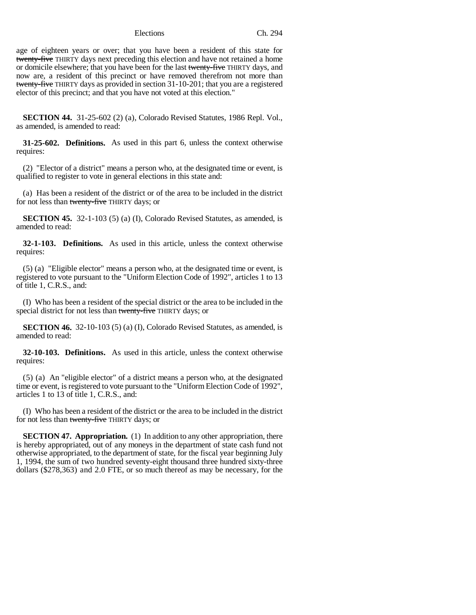age of eighteen years or over; that you have been a resident of this state for twenty-five THIRTY days next preceding this election and have not retained a home or domicile elsewhere; that you have been for the last twenty-five THIRTY days, and now are, a resident of this precinct or have removed therefrom not more than twenty-five THIRTY days as provided in section 31-10-201; that you are a registered elector of this precinct; and that you have not voted at this election."

**SECTION 44.** 31-25-602 (2) (a), Colorado Revised Statutes, 1986 Repl. Vol., as amended, is amended to read:

**31-25-602. Definitions.** As used in this part 6, unless the context otherwise requires:

(2) "Elector of a district" means a person who, at the designated time or event, is qualified to register to vote in general elections in this state and:

(a) Has been a resident of the district or of the area to be included in the district for not less than twenty-five THIRTY days; or

**SECTION 45.** 32-1-103 (5) (a) (I), Colorado Revised Statutes, as amended, is amended to read:

**32-1-103. Definitions.** As used in this article, unless the context otherwise requires:

(5) (a) "Eligible elector" means a person who, at the designated time or event, is registered to vote pursuant to the "Uniform Election Code of 1992", articles 1 to 13 of title 1, C.R.S., and:

(I) Who has been a resident of the special district or the area to be included in the special district for not less than twenty-five THIRTY days; or

**SECTION 46.** 32-10-103 (5) (a) (I), Colorado Revised Statutes, as amended, is amended to read:

**32-10-103. Definitions.** As used in this article, unless the context otherwise requires:

(5) (a) An "eligible elector" of a district means a person who, at the designated time or event, is registered to vote pursuant to the "Uniform Election Code of 1992", articles 1 to 13 of title 1, C.R.S., and:

(I) Who has been a resident of the district or the area to be included in the district for not less than twenty-five THIRTY days; or

**SECTION 47. Appropriation.** (1) In addition to any other appropriation, there is hereby appropriated, out of any moneys in the department of state cash fund not otherwise appropriated, to the department of state, for the fiscal year beginning July 1, 1994, the sum of two hundred seventy-eight thousand three hundred sixty-three dollars (\$278,363) and 2.0 FTE, or so much thereof as may be necessary, for the